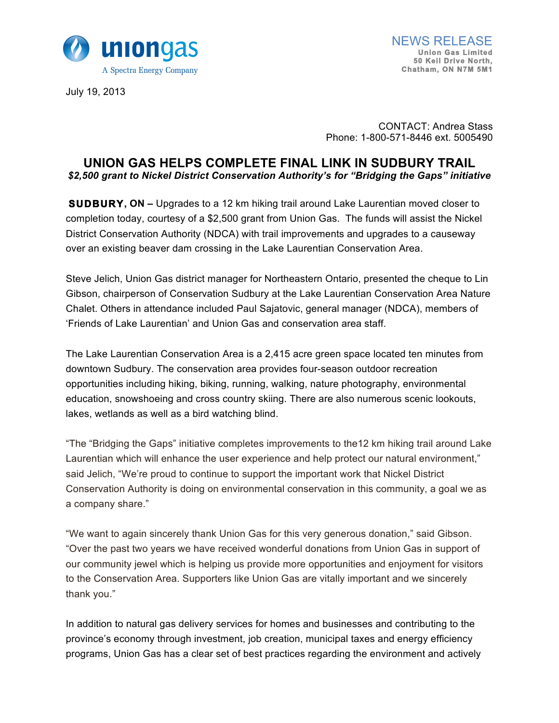

July 19, 2013

CONTACT: Andrea Stass Phone: 1-800-571-8446 ext. 5005490

# **UNION GAS HELPS COMPLETE FINAL LINK IN SUDBURY TRAIL** *\$2,500 grant to Nickel District Conservation Authority's for "Bridging the Gaps" initiative*

**SUDBURY, ON –** Upgrades to a 12 km hiking trail around Lake Laurentian moved closer to completion today, courtesy of a \$2,500 grant from Union Gas. The funds will assist the Nickel District Conservation Authority (NDCA) with trail improvements and upgrades to a causeway over an existing beaver dam crossing in the Lake Laurentian Conservation Area.

Steve Jelich, Union Gas district manager for Northeastern Ontario, presented the cheque to Lin Gibson, chairperson of Conservation Sudbury at the Lake Laurentian Conservation Area Nature Chalet. Others in attendance included Paul Sajatovic, general manager (NDCA), members of 'Friends of Lake Laurentian' and Union Gas and conservation area staff.

The Lake Laurentian Conservation Area is a 2,415 acre green space located ten minutes from downtown Sudbury. The conservation area provides four-season outdoor recreation opportunities including hiking, biking, running, walking, nature photography, environmental education, snowshoeing and cross country skiing. There are also numerous scenic lookouts, lakes, wetlands as well as a bird watching blind.

"The "Bridging the Gaps" initiative completes improvements to the12 km hiking trail around Lake Laurentian which will enhance the user experience and help protect our natural environment," said Jelich, "We're proud to continue to support the important work that Nickel District Conservation Authority is doing on environmental conservation in this community, a goal we as a company share."

"We want to again sincerely thank Union Gas for this very generous donation," said Gibson. "Over the past two years we have received wonderful donations from Union Gas in support of our community jewel which is helping us provide more opportunities and enjoyment for visitors to the Conservation Area. Supporters like Union Gas are vitally important and we sincerely thank you."

In addition to natural gas delivery services for homes and businesses and contributing to the province's economy through investment, job creation, municipal taxes and energy efficiency programs, Union Gas has a clear set of best practices regarding the environment and actively